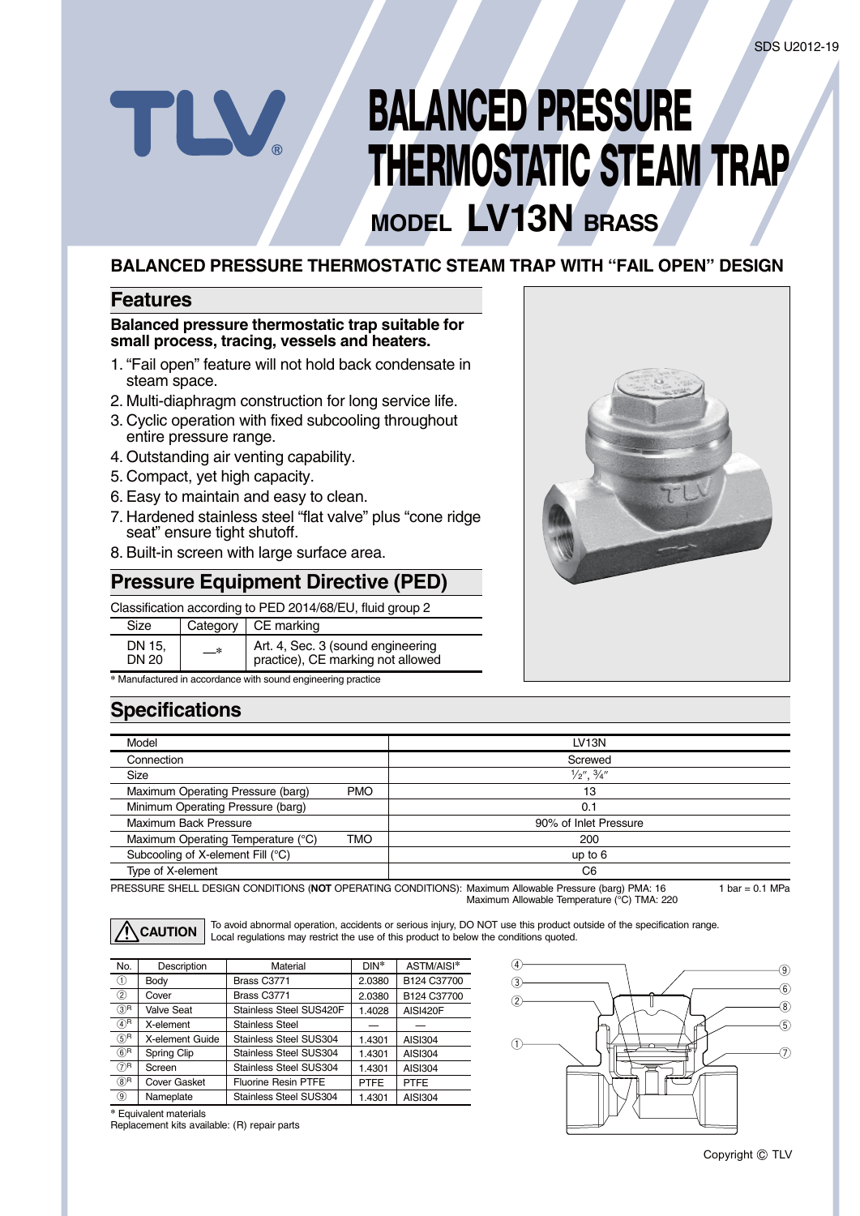# **BALANCED PRESSURE THERMOSTATIC STEAM TRAP**

## **MODEL LV13N BRASS**

#### **BALANCED PRESSURE THERMOSTATIC STEAM TRAP WITH "FAIL OPEN" DESIGN**

#### **Features**

#### **Balanced pressure thermostatic trap suitable for small process, tracing, vessels and heaters.**

- 1. "Fail open" feature will not hold back condensate in steam space.
- 2. Multi-diaphragm construction for long service life.
- 3. Cyclic operation with fixed subcooling throughout entire pressure range.
- 4. Outstanding air venting capability.
- 5. Compact, yet high capacity.

TLV.

- 6. Easy to maintain and easy to clean.
- 7. Hardened stainless steel "flat valve" plus "cone ridge seat" ensure tight shutoff.
- 8. Built-in screen with large surface area.

#### **Pressure Equipment Directive (PED)**

#### Classification according to PED 2014/68/EU, fluid group 2

| Size            |    | Category $\vert$ CE marking                                            |
|-----------------|----|------------------------------------------------------------------------|
| DN 15.<br>DN 20 | —* | Art. 4, Sec. 3 (sound engineering<br>practice), CE marking not allowed |

**\*** Manufactured in accordance with sound engineering practice



#### **Specifications**

| Model                              |            | LV <sub>13N</sub>             |
|------------------------------------|------------|-------------------------------|
| Connection                         |            | Screwed                       |
| Size                               |            | $\frac{1}{2}$ , $\frac{3}{4}$ |
| Maximum Operating Pressure (barg)  | <b>PMO</b> | 13                            |
| Minimum Operating Pressure (barg)  |            | 0.1                           |
| Maximum Back Pressure              |            | 90% of Inlet Pressure         |
| Maximum Operating Temperature (°C) | TMO        | 200                           |
| Subcooling of X-element Fill (°C)  |            | up to $6$                     |
| Type of X-element                  |            | C <sub>6</sub>                |

PRESSURE SHELL DESIGN CONDITIONS (**NOT** OPERATING CONDITIONS): Maximum Allowable Pressure (barg) PMA: 16 1 bar =  $0.1$  MPa

Maximum Allowable Temperature (°C) TMA: 220



To avoid abnormal operation, accidents or serious injury, DO NOT use this product outside of the specification range. **CAUTION** Local regulations may restrict the use of this product to below the conditions quoted.

| No.              | Description         | Material                   | DIN*        | ASTM/AISI*      |
|------------------|---------------------|----------------------------|-------------|-----------------|
| ⊕                | Body                | Brass C3771                | 2.0380      | B124 C37700     |
| $\circled{2}$    | Cover               | Brass C3771                | 2.0380      | B124 C37700     |
| $(3)$ R          | <b>Valve Seat</b>   | Stainless Steel SUS420F    | 1.4028      | <b>AISI420F</b> |
| $(4)$ R          | X-element           | Stainless Steel            |             |                 |
| (5) <sup>R</sup> | X-element Guide     | Stainless Steel SUS304     | 1.4301      | <b>AISI304</b>  |
| $(6)$ R          | Spring Clip         | Stainless Steel SUS304     | 1.4301      | <b>AISI304</b>  |
| $(7)$ R          | Screen              | Stainless Steel SUS304     | 1.4301      | <b>AISI304</b>  |
| $(8)$ R          | <b>Cover Gasket</b> | <b>Fluorine Resin PTFE</b> | <b>PTFE</b> | <b>PTFE</b>     |
| ◉                | Nameplate           | Stainless Steel SUS304     | 1.4301      | <b>AISI304</b>  |



**\*** Equivalent materials

Replacement kits available: (R) repair parts